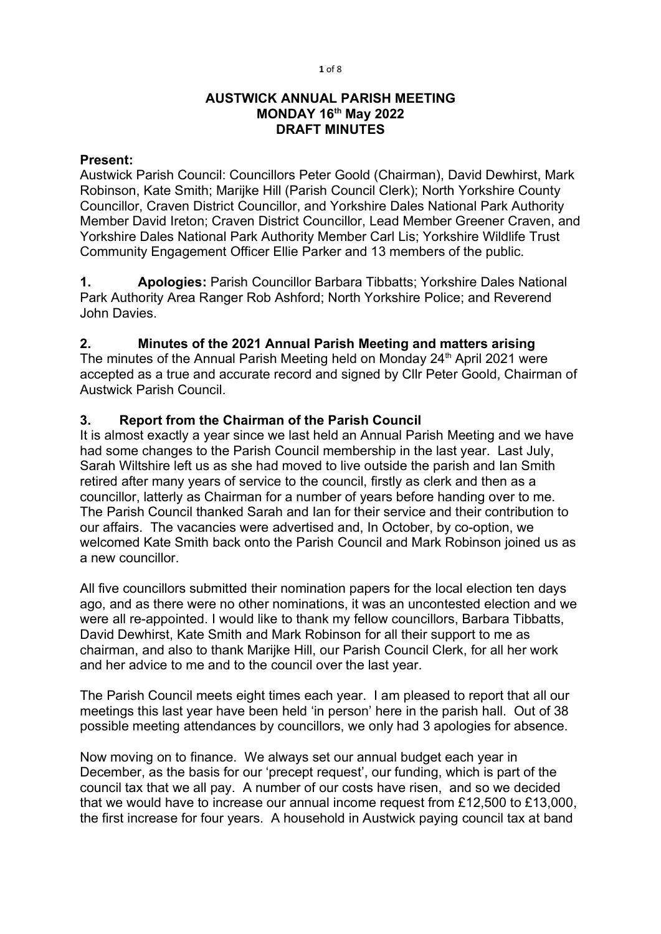#### 1 of 8

## AUSTWICK ANNUAL PARISH MEETING MONDAY 16<sup>th</sup> May 2022 DRAFT MINUTES

## Present:

Austwick Parish Council: Councillors Peter Goold (Chairman), David Dewhirst, Mark Robinson, Kate Smith; Marijke Hill (Parish Council Clerk); North Yorkshire County Councillor, Craven District Councillor, and Yorkshire Dales National Park Authority Member David Ireton; Craven District Councillor, Lead Member Greener Craven, and Yorkshire Dales National Park Authority Member Carl Lis; Yorkshire Wildlife Trust Community Engagement Officer Ellie Parker and 13 members of the public.

1. Apologies: Parish Councillor Barbara Tibbatts; Yorkshire Dales National Park Authority Area Ranger Rob Ashford; North Yorkshire Police; and Reverend John Davies.

# 2. Minutes of the 2021 Annual Parish Meeting and matters arising

The minutes of the Annual Parish Meeting held on Monday 24<sup>th</sup> April 2021 were accepted as a true and accurate record and signed by Cllr Peter Goold, Chairman of Austwick Parish Council.

# 3. Report from the Chairman of the Parish Council

It is almost exactly a year since we last held an Annual Parish Meeting and we have had some changes to the Parish Council membership in the last year. Last July, Sarah Wiltshire left us as she had moved to live outside the parish and Ian Smith retired after many years of service to the council, firstly as clerk and then as a councillor, latterly as Chairman for a number of years before handing over to me. The Parish Council thanked Sarah and Ian for their service and their contribution to our affairs. The vacancies were advertised and, In October, by co-option, we welcomed Kate Smith back onto the Parish Council and Mark Robinson joined us as a new councillor.

All five councillors submitted their nomination papers for the local election ten days ago, and as there were no other nominations, it was an uncontested election and we were all re-appointed. I would like to thank my fellow councillors, Barbara Tibbatts, David Dewhirst, Kate Smith and Mark Robinson for all their support to me as chairman, and also to thank Marijke Hill, our Parish Council Clerk, for all her work and her advice to me and to the council over the last year.

The Parish Council meets eight times each year. I am pleased to report that all our meetings this last year have been held 'in person' here in the parish hall. Out of 38 possible meeting attendances by councillors, we only had 3 apologies for absence.

Now moving on to finance. We always set our annual budget each year in December, as the basis for our 'precept request', our funding, which is part of the council tax that we all pay. A number of our costs have risen, and so we decided that we would have to increase our annual income request from £12,500 to £13,000, the first increase for four years. A household in Austwick paying council tax at band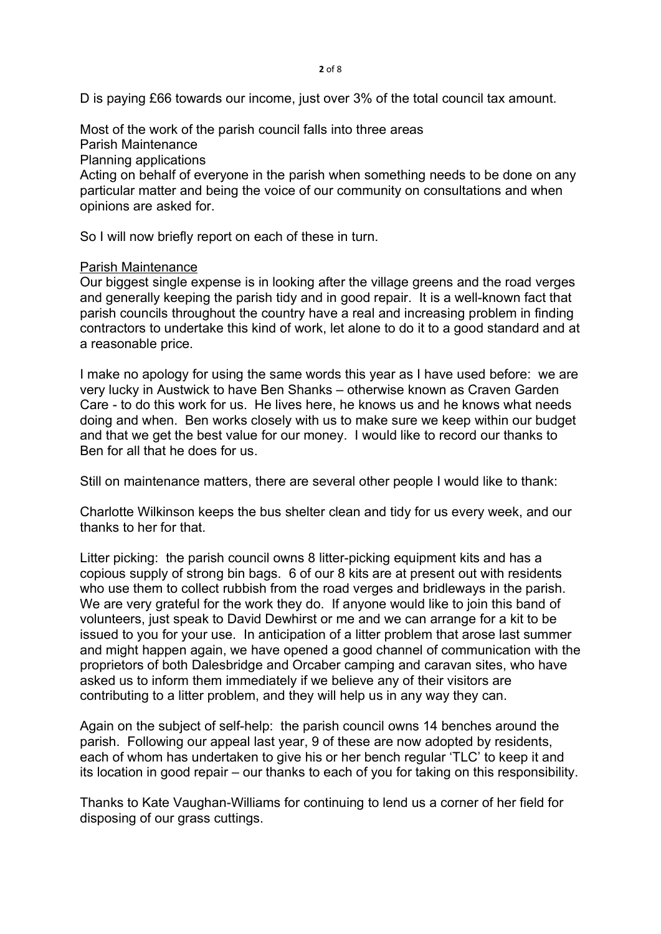D is paying £66 towards our income, just over 3% of the total council tax amount.

Most of the work of the parish council falls into three areas

Parish Maintenance

Planning applications

Acting on behalf of everyone in the parish when something needs to be done on any particular matter and being the voice of our community on consultations and when opinions are asked for.

So I will now briefly report on each of these in turn.

## Parish Maintenance

Our biggest single expense is in looking after the village greens and the road verges and generally keeping the parish tidy and in good repair. It is a well-known fact that parish councils throughout the country have a real and increasing problem in finding contractors to undertake this kind of work, let alone to do it to a good standard and at a reasonable price.

I make no apology for using the same words this year as I have used before: we are very lucky in Austwick to have Ben Shanks – otherwise known as Craven Garden Care - to do this work for us. He lives here, he knows us and he knows what needs doing and when. Ben works closely with us to make sure we keep within our budget and that we get the best value for our money. I would like to record our thanks to Ben for all that he does for us.

Still on maintenance matters, there are several other people I would like to thank:

Charlotte Wilkinson keeps the bus shelter clean and tidy for us every week, and our thanks to her for that.

Litter picking: the parish council owns 8 litter-picking equipment kits and has a copious supply of strong bin bags. 6 of our 8 kits are at present out with residents who use them to collect rubbish from the road verges and bridleways in the parish. We are very grateful for the work they do. If anyone would like to join this band of volunteers, just speak to David Dewhirst or me and we can arrange for a kit to be issued to you for your use. In anticipation of a litter problem that arose last summer and might happen again, we have opened a good channel of communication with the proprietors of both Dalesbridge and Orcaber camping and caravan sites, who have asked us to inform them immediately if we believe any of their visitors are contributing to a litter problem, and they will help us in any way they can.

Again on the subject of self-help: the parish council owns 14 benches around the parish. Following our appeal last year, 9 of these are now adopted by residents, each of whom has undertaken to give his or her bench regular 'TLC' to keep it and its location in good repair – our thanks to each of you for taking on this responsibility.

Thanks to Kate Vaughan-Williams for continuing to lend us a corner of her field for disposing of our grass cuttings.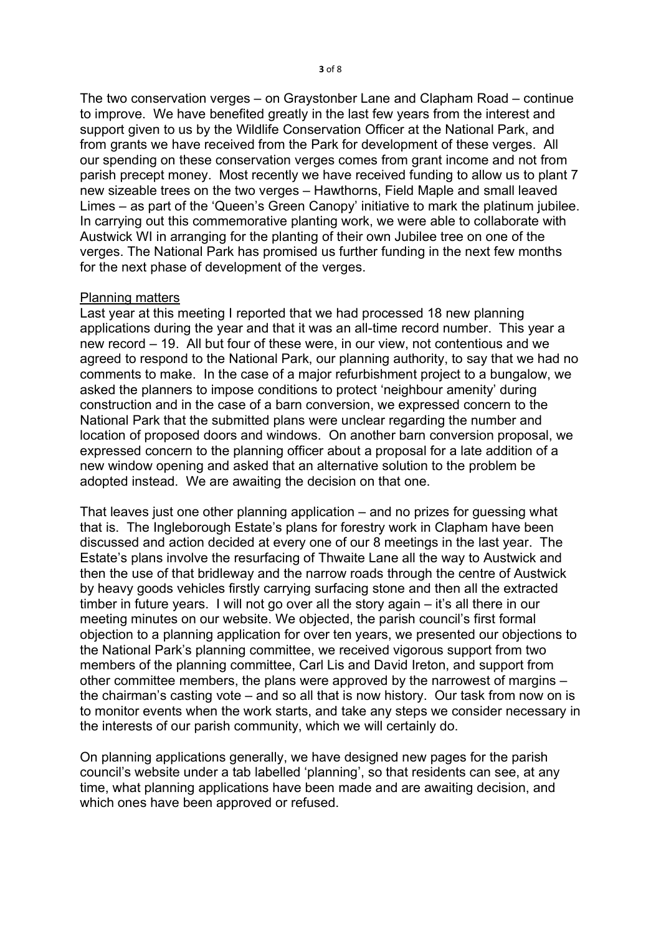The two conservation verges – on Graystonber Lane and Clapham Road – continue to improve. We have benefited greatly in the last few years from the interest and support given to us by the Wildlife Conservation Officer at the National Park, and from grants we have received from the Park for development of these verges. All our spending on these conservation verges comes from grant income and not from parish precept money. Most recently we have received funding to allow us to plant 7 new sizeable trees on the two verges – Hawthorns, Field Maple and small leaved Limes – as part of the 'Queen's Green Canopy' initiative to mark the platinum jubilee. In carrying out this commemorative planting work, we were able to collaborate with Austwick WI in arranging for the planting of their own Jubilee tree on one of the verges. The National Park has promised us further funding in the next few months for the next phase of development of the verges.

### Planning matters

Last year at this meeting I reported that we had processed 18 new planning applications during the year and that it was an all-time record number. This year a new record – 19. All but four of these were, in our view, not contentious and we agreed to respond to the National Park, our planning authority, to say that we had no comments to make. In the case of a major refurbishment project to a bungalow, we asked the planners to impose conditions to protect 'neighbour amenity' during construction and in the case of a barn conversion, we expressed concern to the National Park that the submitted plans were unclear regarding the number and location of proposed doors and windows. On another barn conversion proposal, we expressed concern to the planning officer about a proposal for a late addition of a new window opening and asked that an alternative solution to the problem be adopted instead. We are awaiting the decision on that one.

That leaves just one other planning application – and no prizes for guessing what that is. The Ingleborough Estate's plans for forestry work in Clapham have been discussed and action decided at every one of our 8 meetings in the last year. The Estate's plans involve the resurfacing of Thwaite Lane all the way to Austwick and then the use of that bridleway and the narrow roads through the centre of Austwick by heavy goods vehicles firstly carrying surfacing stone and then all the extracted timber in future years. I will not go over all the story again – it's all there in our meeting minutes on our website. We objected, the parish council's first formal objection to a planning application for over ten years, we presented our objections to the National Park's planning committee, we received vigorous support from two members of the planning committee, Carl Lis and David Ireton, and support from other committee members, the plans were approved by the narrowest of margins – the chairman's casting vote – and so all that is now history. Our task from now on is to monitor events when the work starts, and take any steps we consider necessary in the interests of our parish community, which we will certainly do.

On planning applications generally, we have designed new pages for the parish council's website under a tab labelled 'planning', so that residents can see, at any time, what planning applications have been made and are awaiting decision, and which ones have been approved or refused.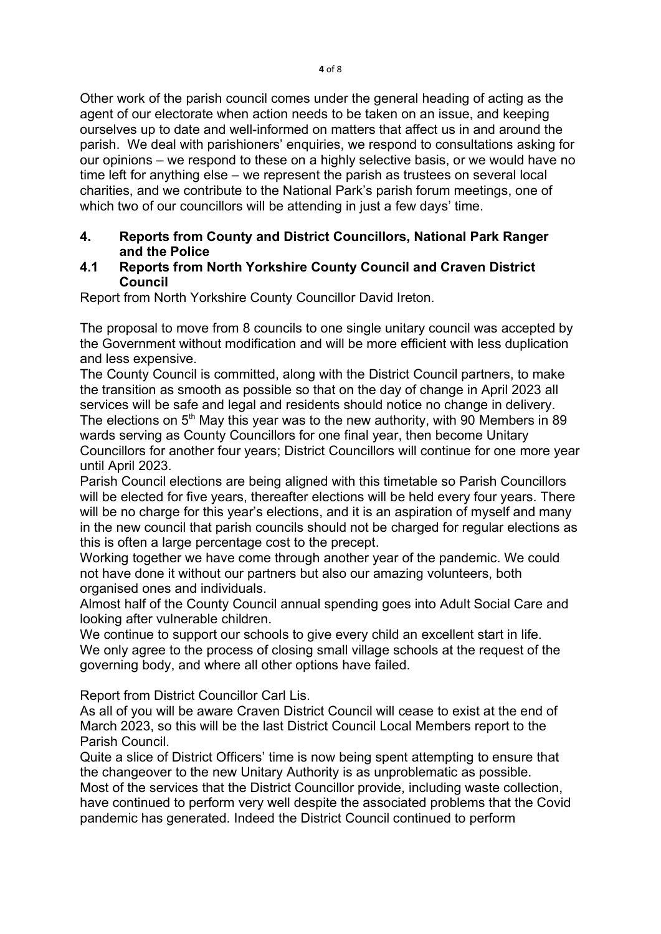Other work of the parish council comes under the general heading of acting as the agent of our electorate when action needs to be taken on an issue, and keeping ourselves up to date and well-informed on matters that affect us in and around the parish. We deal with parishioners' enquiries, we respond to consultations asking for our opinions – we respond to these on a highly selective basis, or we would have no time left for anything else – we represent the parish as trustees on several local charities, and we contribute to the National Park's parish forum meetings, one of which two of our councillors will be attending in just a few days' time.

## 4. Reports from County and District Councillors, National Park Ranger and the Police

## 4.1 Reports from North Yorkshire County Council and Craven District Council

Report from North Yorkshire County Councillor David Ireton.

The proposal to move from 8 councils to one single unitary council was accepted by the Government without modification and will be more efficient with less duplication and less expensive.

The County Council is committed, along with the District Council partners, to make the transition as smooth as possible so that on the day of change in April 2023 all services will be safe and legal and residents should notice no change in delivery. The elections on  $5<sup>th</sup>$  May this year was to the new authority, with 90 Members in 89 wards serving as County Councillors for one final year, then become Unitary Councillors for another four years; District Councillors will continue for one more year until April 2023.

Parish Council elections are being aligned with this timetable so Parish Councillors will be elected for five years, thereafter elections will be held every four years. There will be no charge for this year's elections, and it is an aspiration of myself and many in the new council that parish councils should not be charged for regular elections as this is often a large percentage cost to the precept.

Working together we have come through another year of the pandemic. We could not have done it without our partners but also our amazing volunteers, both organised ones and individuals.

Almost half of the County Council annual spending goes into Adult Social Care and looking after vulnerable children.

We continue to support our schools to give every child an excellent start in life. We only agree to the process of closing small village schools at the request of the governing body, and where all other options have failed.

Report from District Councillor Carl Lis.

As all of you will be aware Craven District Council will cease to exist at the end of March 2023, so this will be the last District Council Local Members report to the Parish Council.

Quite a slice of District Officers' time is now being spent attempting to ensure that the changeover to the new Unitary Authority is as unproblematic as possible. Most of the services that the District Councillor provide, including waste collection, have continued to perform very well despite the associated problems that the Covid pandemic has generated. Indeed the District Council continued to perform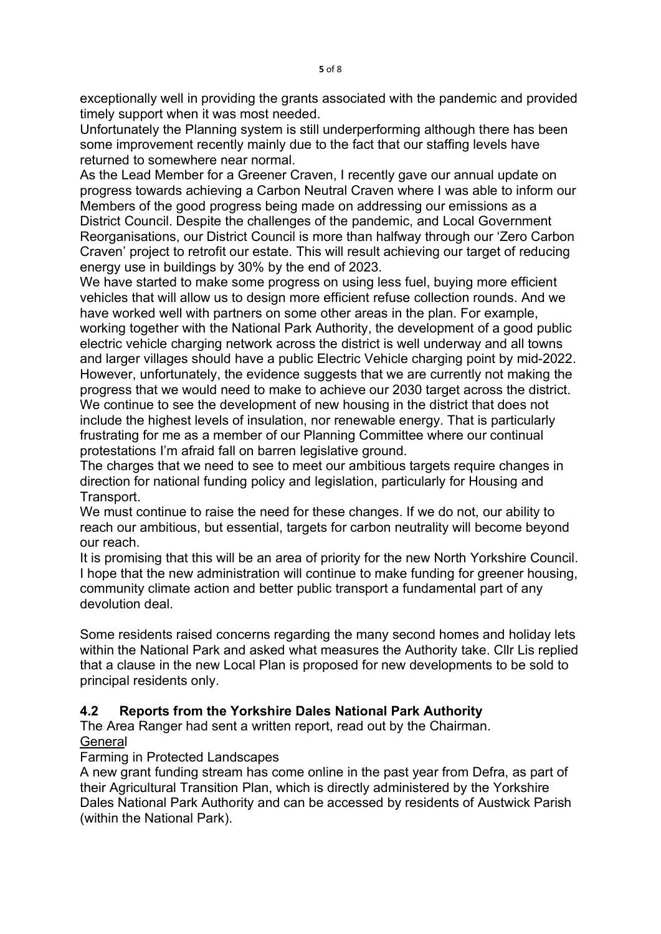exceptionally well in providing the grants associated with the pandemic and provided timely support when it was most needed.

Unfortunately the Planning system is still underperforming although there has been some improvement recently mainly due to the fact that our staffing levels have returned to somewhere near normal.

As the Lead Member for a Greener Craven, I recently gave our annual update on progress towards achieving a Carbon Neutral Craven where I was able to inform our Members of the good progress being made on addressing our emissions as a District Council. Despite the challenges of the pandemic, and Local Government Reorganisations, our District Council is more than halfway through our 'Zero Carbon Craven' project to retrofit our estate. This will result achieving our target of reducing energy use in buildings by 30% by the end of 2023.

We have started to make some progress on using less fuel, buying more efficient vehicles that will allow us to design more efficient refuse collection rounds. And we have worked well with partners on some other areas in the plan. For example, working together with the National Park Authority, the development of a good public electric vehicle charging network across the district is well underway and all towns and larger villages should have a public Electric Vehicle charging point by mid-2022. However, unfortunately, the evidence suggests that we are currently not making the progress that we would need to make to achieve our 2030 target across the district. We continue to see the development of new housing in the district that does not include the highest levels of insulation, nor renewable energy. That is particularly frustrating for me as a member of our Planning Committee where our continual protestations I'm afraid fall on barren legislative ground.

The charges that we need to see to meet our ambitious targets require changes in direction for national funding policy and legislation, particularly for Housing and Transport.

We must continue to raise the need for these changes. If we do not, our ability to reach our ambitious, but essential, targets for carbon neutrality will become beyond our reach.

It is promising that this will be an area of priority for the new North Yorkshire Council. I hope that the new administration will continue to make funding for greener housing, community climate action and better public transport a fundamental part of any devolution deal.

Some residents raised concerns regarding the many second homes and holiday lets within the National Park and asked what measures the Authority take. Cllr Lis replied that a clause in the new Local Plan is proposed for new developments to be sold to principal residents only.

# 4.2 Reports from the Yorkshire Dales National Park Authority

The Area Ranger had sent a written report, read out by the Chairman. **General** 

### Farming in Protected Landscapes

A new grant funding stream has come online in the past year from Defra, as part of their Agricultural Transition Plan, which is directly administered by the Yorkshire Dales National Park Authority and can be accessed by residents of Austwick Parish (within the National Park).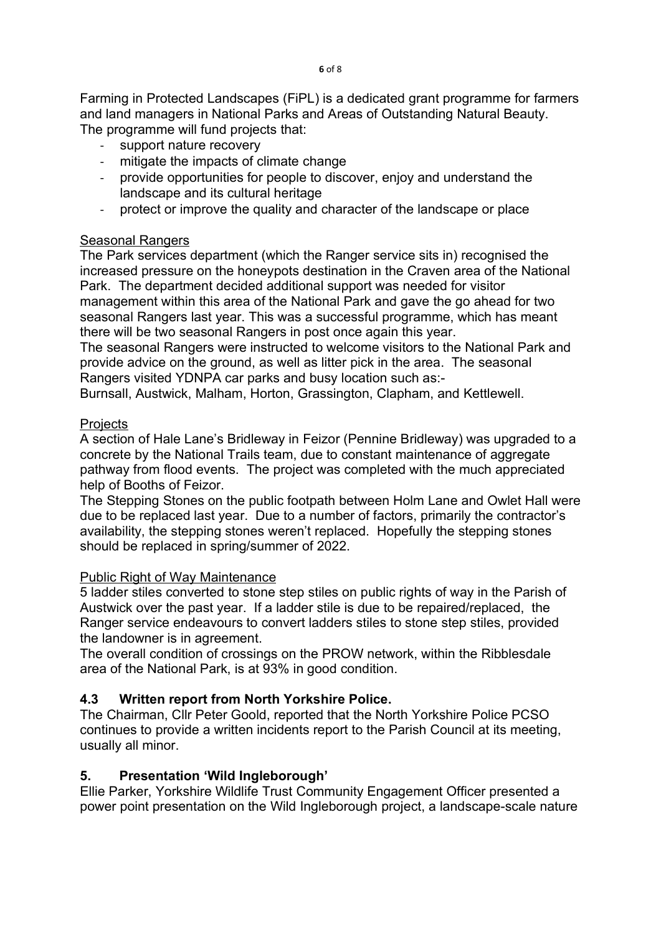Farming in Protected Landscapes (FiPL) is a dedicated grant programme for farmers and land managers in National Parks and Areas of Outstanding Natural Beauty. The programme will fund projects that:

- support nature recovery
- mitigate the impacts of climate change
- provide opportunities for people to discover, enjoy and understand the landscape and its cultural heritage
- protect or improve the quality and character of the landscape or place

## **Seasonal Rangers**

The Park services department (which the Ranger service sits in) recognised the increased pressure on the honeypots destination in the Craven area of the National Park. The department decided additional support was needed for visitor management within this area of the National Park and gave the go ahead for two seasonal Rangers last year. This was a successful programme, which has meant there will be two seasonal Rangers in post once again this year.

The seasonal Rangers were instructed to welcome visitors to the National Park and provide advice on the ground, as well as litter pick in the area. The seasonal Rangers visited YDNPA car parks and busy location such as:-

Burnsall, Austwick, Malham, Horton, Grassington, Clapham, and Kettlewell.

## **Projects**

A section of Hale Lane's Bridleway in Feizor (Pennine Bridleway) was upgraded to a concrete by the National Trails team, due to constant maintenance of aggregate pathway from flood events. The project was completed with the much appreciated help of Booths of Feizor.

The Stepping Stones on the public footpath between Holm Lane and Owlet Hall were due to be replaced last year. Due to a number of factors, primarily the contractor's availability, the stepping stones weren't replaced. Hopefully the stepping stones should be replaced in spring/summer of 2022.

## Public Right of Way Maintenance

5 ladder stiles converted to stone step stiles on public rights of way in the Parish of Austwick over the past year. If a ladder stile is due to be repaired/replaced, the Ranger service endeavours to convert ladders stiles to stone step stiles, provided the landowner is in agreement.

The overall condition of crossings on the PROW network, within the Ribblesdale area of the National Park, is at 93% in good condition.

## 4.3 Written report from North Yorkshire Police.

The Chairman, Cllr Peter Goold, reported that the North Yorkshire Police PCSO continues to provide a written incidents report to the Parish Council at its meeting, usually all minor.

## 5. Presentation 'Wild Ingleborough'

Ellie Parker, Yorkshire Wildlife Trust Community Engagement Officer presented a power point presentation on the Wild Ingleborough project, a landscape-scale nature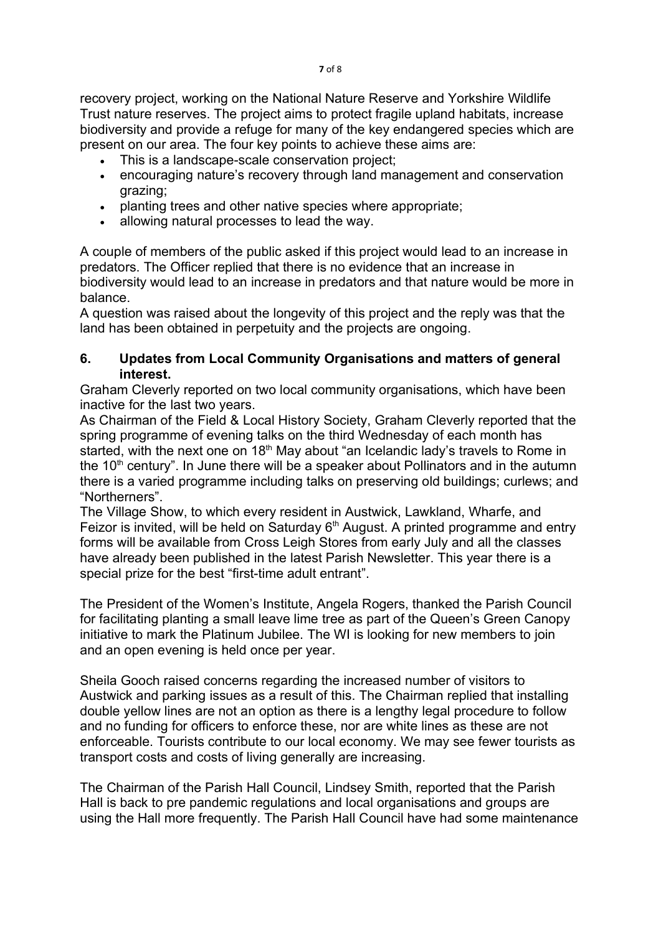recovery project, working on the National Nature Reserve and Yorkshire Wildlife Trust nature reserves. The project aims to protect fragile upland habitats, increase biodiversity and provide a refuge for many of the key endangered species which are present on our area. The four key points to achieve these aims are:

- This is a landscape-scale conservation project;
- encouraging nature's recovery through land management and conservation grazing;
- planting trees and other native species where appropriate;
- allowing natural processes to lead the way.

A couple of members of the public asked if this project would lead to an increase in predators. The Officer replied that there is no evidence that an increase in biodiversity would lead to an increase in predators and that nature would be more in balance.

A question was raised about the longevity of this project and the reply was that the land has been obtained in perpetuity and the projects are ongoing.

# 6. Updates from Local Community Organisations and matters of general interest.

Graham Cleverly reported on two local community organisations, which have been inactive for the last two years.

As Chairman of the Field & Local History Society, Graham Cleverly reported that the spring programme of evening talks on the third Wednesday of each month has started, with the next one on  $18<sup>th</sup>$  May about "an Icelandic lady's travels to Rome in the  $10<sup>th</sup>$  century". In June there will be a speaker about Pollinators and in the autumn there is a varied programme including talks on preserving old buildings; curlews; and "Northerners".

The Village Show, to which every resident in Austwick, Lawkland, Wharfe, and Feizor is invited, will be held on Saturday  $6<sup>th</sup>$  August. A printed programme and entry forms will be available from Cross Leigh Stores from early July and all the classes have already been published in the latest Parish Newsletter. This year there is a special prize for the best "first-time adult entrant".

The President of the Women's Institute, Angela Rogers, thanked the Parish Council for facilitating planting a small leave lime tree as part of the Queen's Green Canopy initiative to mark the Platinum Jubilee. The WI is looking for new members to join and an open evening is held once per year.

Sheila Gooch raised concerns regarding the increased number of visitors to Austwick and parking issues as a result of this. The Chairman replied that installing double yellow lines are not an option as there is a lengthy legal procedure to follow and no funding for officers to enforce these, nor are white lines as these are not enforceable. Tourists contribute to our local economy. We may see fewer tourists as transport costs and costs of living generally are increasing.

The Chairman of the Parish Hall Council, Lindsey Smith, reported that the Parish Hall is back to pre pandemic regulations and local organisations and groups are using the Hall more frequently. The Parish Hall Council have had some maintenance